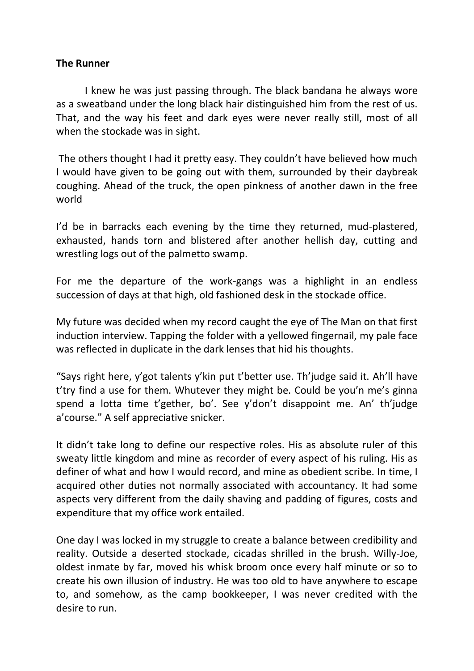## **The Runner**

I knew he was just passing through. The black bandana he always wore as a sweatband under the long black hair distinguished him from the rest of us. That, and the way his feet and dark eyes were never really still, most of all when the stockade was in sight.

The others thought I had it pretty easy. They couldn't have believed how much I would have given to be going out with them, surrounded by their daybreak coughing. Ahead of the truck, the open pinkness of another dawn in the free world

I'd be in barracks each evening by the time they returned, mud-plastered, exhausted, hands torn and blistered after another hellish day, cutting and wrestling logs out of the palmetto swamp.

For me the departure of the work-gangs was a highlight in an endless succession of days at that high, old fashioned desk in the stockade office.

My future was decided when my record caught the eye of The Man on that first induction interview. Tapping the folder with a yellowed fingernail, my pale face was reflected in duplicate in the dark lenses that hid his thoughts.

"Says right here, y'got talents y'kin put t'better use. Th'judge said it. Ah'll have t'try find a use for them. Whutever they might be. Could be you'n me's ginna spend a lotta time t'gether, bo'. See y'don't disappoint me. An' th'judge a'course." A self appreciative snicker.

It didn't take long to define our respective roles. His as absolute ruler of this sweaty little kingdom and mine as recorder of every aspect of his ruling. His as definer of what and how I would record, and mine as obedient scribe. In time, I acquired other duties not normally associated with accountancy. It had some aspects very different from the daily shaving and padding of figures, costs and expenditure that my office work entailed.

One day I was locked in my struggle to create a balance between credibility and reality. Outside a deserted stockade, cicadas shrilled in the brush. Willy-Joe, oldest inmate by far, moved his whisk broom once every half minute or so to create his own illusion of industry. He was too old to have anywhere to escape to, and somehow, as the camp bookkeeper, I was never credited with the desire to run.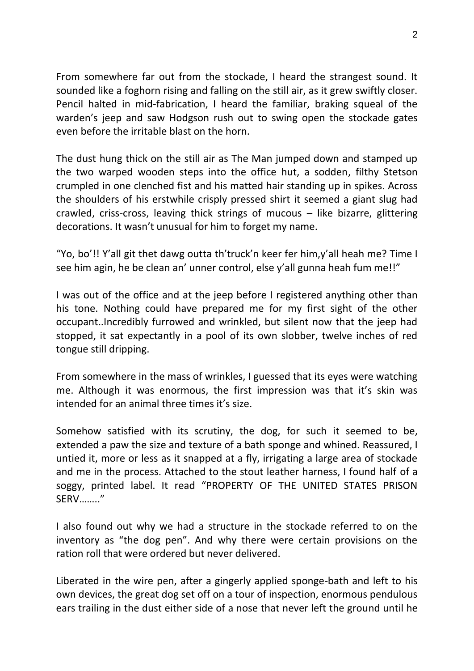From somewhere far out from the stockade, I heard the strangest sound. It sounded like a foghorn rising and falling on the still air, as it grew swiftly closer. Pencil halted in mid-fabrication, I heard the familiar, braking squeal of the warden's jeep and saw Hodgson rush out to swing open the stockade gates even before the irritable blast on the horn.

The dust hung thick on the still air as The Man jumped down and stamped up the two warped wooden steps into the office hut, a sodden, filthy Stetson crumpled in one clenched fist and his matted hair standing up in spikes. Across the shoulders of his erstwhile crisply pressed shirt it seemed a giant slug had crawled, criss-cross, leaving thick strings of mucous – like bizarre, glittering decorations. It wasn't unusual for him to forget my name.

"Yo, bo'!! Y'all git thet dawg outta th'truck'n keer fer him,y'all heah me? Time I see him agin, he be clean an' unner control, else y'all gunna heah fum me!!"

I was out of the office and at the jeep before I registered anything other than his tone. Nothing could have prepared me for my first sight of the other occupant..Incredibly furrowed and wrinkled, but silent now that the jeep had stopped, it sat expectantly in a pool of its own slobber, twelve inches of red tongue still dripping.

From somewhere in the mass of wrinkles, I guessed that its eyes were watching me. Although it was enormous, the first impression was that it's skin was intended for an animal three times it's size.

Somehow satisfied with its scrutiny, the dog, for such it seemed to be, extended a paw the size and texture of a bath sponge and whined. Reassured, I untied it, more or less as it snapped at a fly, irrigating a large area of stockade and me in the process. Attached to the stout leather harness, I found half of a soggy, printed label. It read "PROPERTY OF THE UNITED STATES PRISON SERV…….."

I also found out why we had a structure in the stockade referred to on the inventory as "the dog pen". And why there were certain provisions on the ration roll that were ordered but never delivered.

Liberated in the wire pen, after a gingerly applied sponge-bath and left to his own devices, the great dog set off on a tour of inspection, enormous pendulous ears trailing in the dust either side of a nose that never left the ground until he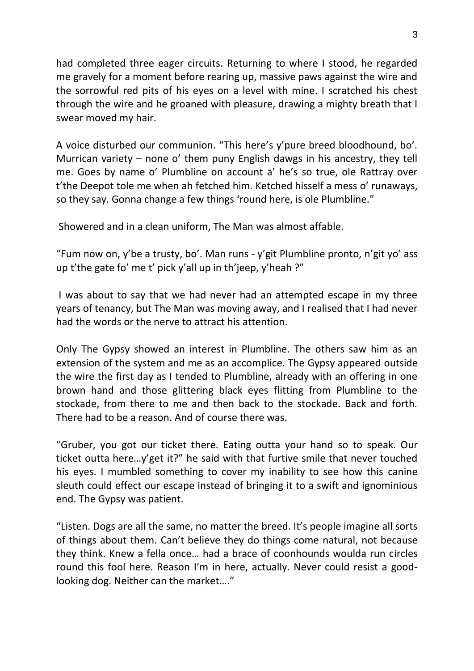had completed three eager circuits. Returning to where I stood, he regarded me gravely for a moment before rearing up, massive paws against the wire and the sorrowful red pits of his eyes on a level with mine. I scratched his chest through the wire and he groaned with pleasure, drawing a mighty breath that I swear moved my hair.

A voice disturbed our communion. "This here's y'pure breed bloodhound, bo'. Murrican variety – none o' them puny English dawgs in his ancestry, they tell me. Goes by name o' Plumbline on account a' he's so true, ole Rattray over t'the Deepot tole me when ah fetched him. Ketched hisself a mess o' runaways, so they say. Gonna change a few things 'round here, is ole Plumbline."

Showered and in a clean uniform, The Man was almost affable.

"Fum now on, y'be a trusty, bo'. Man runs - y'git Plumbline pronto, n'git yo' ass up t'the gate fo' me t' pick y'all up in th'jeep, y'heah ?"

I was about to say that we had never had an attempted escape in my three years of tenancy, but The Man was moving away, and I realised that I had never had the words or the nerve to attract his attention.

Only The Gypsy showed an interest in Plumbline. The others saw him as an extension of the system and me as an accomplice. The Gypsy appeared outside the wire the first day as I tended to Plumbline, already with an offering in one brown hand and those glittering black eyes flitting from Plumbline to the stockade, from there to me and then back to the stockade. Back and forth. There had to be a reason. And of course there was.

"Gruber, you got our ticket there. Eating outta your hand so to speak. Our ticket outta here…y'get it?" he said with that furtive smile that never touched his eyes. I mumbled something to cover my inability to see how this canine sleuth could effect our escape instead of bringing it to a swift and ignominious end. The Gypsy was patient.

"Listen. Dogs are all the same, no matter the breed. It's people imagine all sorts of things about them. Can't believe they do things come natural, not because they think. Knew a fella once… had a brace of coonhounds woulda run circles round this fool here. Reason I'm in here, actually. Never could resist a goodlooking dog. Neither can the market…."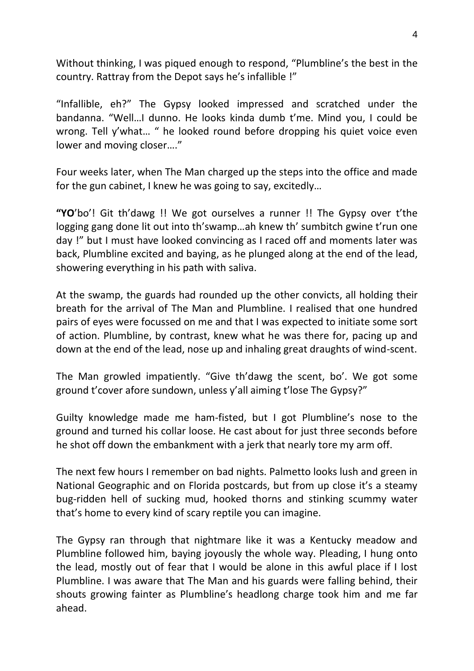Without thinking, I was piqued enough to respond, "Plumbline's the best in the country. Rattray from the Depot says he's infallible !"

"Infallible, eh?" The Gypsy looked impressed and scratched under the bandanna. "Well…I dunno. He looks kinda dumb t'me. Mind you, I could be wrong. Tell y'what… " he looked round before dropping his quiet voice even lower and moving closer…."

Four weeks later, when The Man charged up the steps into the office and made for the gun cabinet, I knew he was going to say, excitedly…

**"YO**'bo'! Git th'dawg !! We got ourselves a runner !! The Gypsy over t'the logging gang done lit out into th'swamp…ah knew th' sumbitch gwine t'run one day !" but I must have looked convincing as I raced off and moments later was back, Plumbline excited and baying, as he plunged along at the end of the lead, showering everything in his path with saliva.

At the swamp, the guards had rounded up the other convicts, all holding their breath for the arrival of The Man and Plumbline. I realised that one hundred pairs of eyes were focussed on me and that I was expected to initiate some sort of action. Plumbline, by contrast, knew what he was there for, pacing up and down at the end of the lead, nose up and inhaling great draughts of wind-scent.

The Man growled impatiently. "Give th'dawg the scent, bo'. We got some ground t'cover afore sundown, unless y'all aiming t'lose The Gypsy?"

Guilty knowledge made me ham-fisted, but I got Plumbline's nose to the ground and turned his collar loose. He cast about for just three seconds before he shot off down the embankment with a jerk that nearly tore my arm off.

The next few hours I remember on bad nights. Palmetto looks lush and green in National Geographic and on Florida postcards, but from up close it's a steamy bug-ridden hell of sucking mud, hooked thorns and stinking scummy water that's home to every kind of scary reptile you can imagine.

The Gypsy ran through that nightmare like it was a Kentucky meadow and Plumbline followed him, baying joyously the whole way. Pleading, I hung onto the lead, mostly out of fear that I would be alone in this awful place if I lost Plumbline. I was aware that The Man and his guards were falling behind, their shouts growing fainter as Plumbline's headlong charge took him and me far ahead.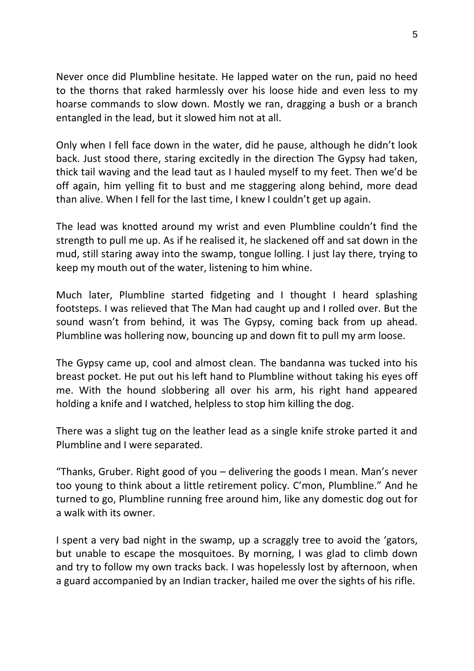Never once did Plumbline hesitate. He lapped water on the run, paid no heed to the thorns that raked harmlessly over his loose hide and even less to my hoarse commands to slow down. Mostly we ran, dragging a bush or a branch entangled in the lead, but it slowed him not at all.

Only when I fell face down in the water, did he pause, although he didn't look back. Just stood there, staring excitedly in the direction The Gypsy had taken, thick tail waving and the lead taut as I hauled myself to my feet. Then we'd be off again, him yelling fit to bust and me staggering along behind, more dead than alive. When I fell for the last time, I knew I couldn't get up again.

The lead was knotted around my wrist and even Plumbline couldn't find the strength to pull me up. As if he realised it, he slackened off and sat down in the mud, still staring away into the swamp, tongue lolling. I just lay there, trying to keep my mouth out of the water, listening to him whine.

Much later, Plumbline started fidgeting and I thought I heard splashing footsteps. I was relieved that The Man had caught up and I rolled over. But the sound wasn't from behind, it was The Gypsy, coming back from up ahead. Plumbline was hollering now, bouncing up and down fit to pull my arm loose.

The Gypsy came up, cool and almost clean. The bandanna was tucked into his breast pocket. He put out his left hand to Plumbline without taking his eyes off me. With the hound slobbering all over his arm, his right hand appeared holding a knife and I watched, helpless to stop him killing the dog.

There was a slight tug on the leather lead as a single knife stroke parted it and Plumbline and I were separated.

"Thanks, Gruber. Right good of you – delivering the goods I mean. Man's never too young to think about a little retirement policy. C'mon, Plumbline." And he turned to go, Plumbline running free around him, like any domestic dog out for a walk with its owner.

I spent a very bad night in the swamp, up a scraggly tree to avoid the 'gators, but unable to escape the mosquitoes. By morning, I was glad to climb down and try to follow my own tracks back. I was hopelessly lost by afternoon, when a guard accompanied by an Indian tracker, hailed me over the sights of his rifle.